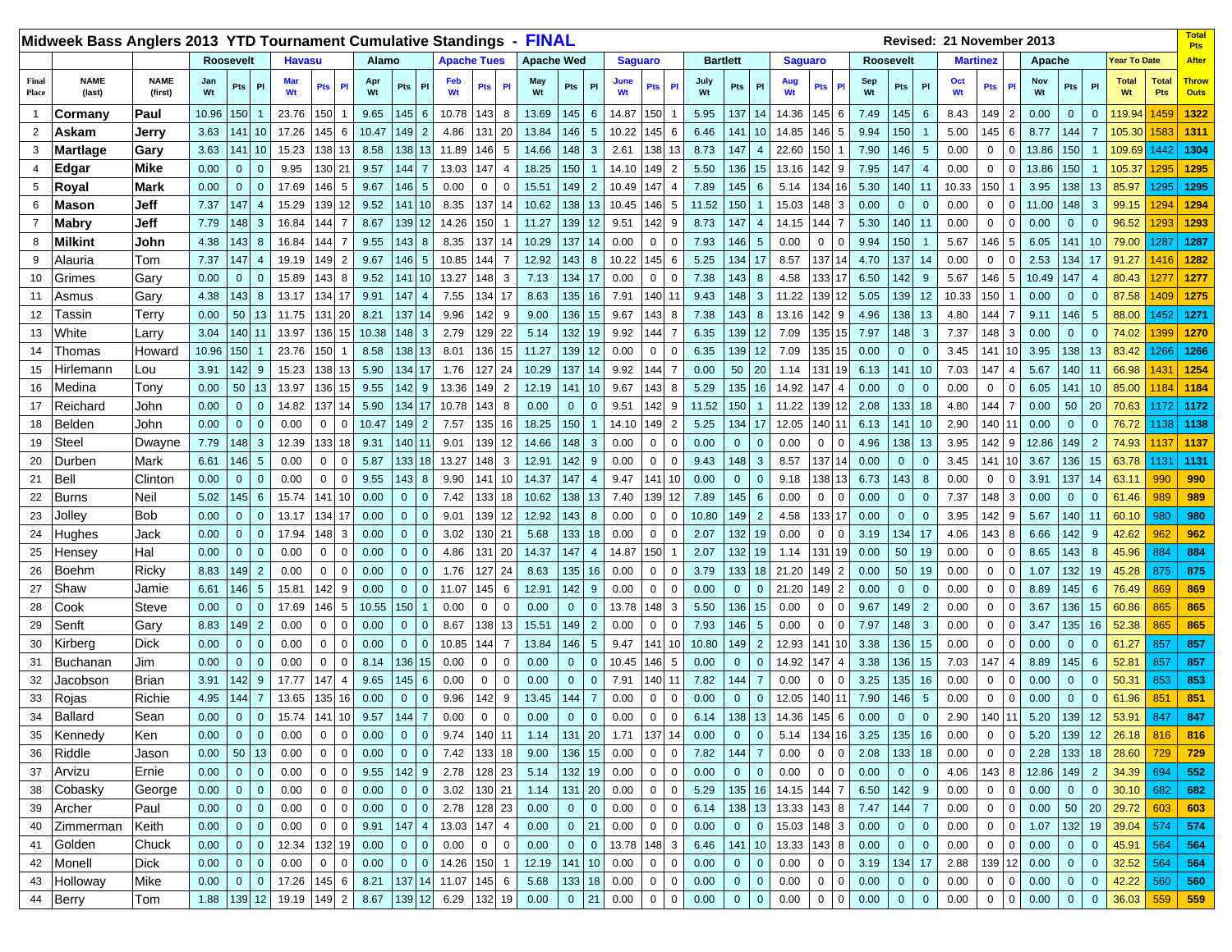|                | Midweek Bass Anglers 2013 YTD Tournament Cumulative Standings |                        |                  |                |                 |                  |              |                         |           |                |                 |                    |                |                | <b>FINAL</b>      |                |                  |                |                |                |                 |                |                  |                    |                        |                |                  |                |                 | Revised: 21 November 2013 |                                  |                      |           |                                  |                     |                     | <b>Total</b><br><b>Pts</b>  |
|----------------|---------------------------------------------------------------|------------------------|------------------|----------------|-----------------|------------------|--------------|-------------------------|-----------|----------------|-----------------|--------------------|----------------|----------------|-------------------|----------------|------------------|----------------|----------------|----------------|-----------------|----------------|------------------|--------------------|------------------------|----------------|------------------|----------------|-----------------|---------------------------|----------------------------------|----------------------|-----------|----------------------------------|---------------------|---------------------|-----------------------------|
|                |                                                               |                        | <b>Roosevelt</b> |                |                 | <b>Havasu</b>    |              |                         | Alamo     |                |                 | <b>Apache Tues</b> |                |                | <b>Apache Wed</b> |                |                  | <b>Saguaro</b> |                |                | <b>Bartlett</b> |                |                  | <b>Saguaro</b>     |                        |                | <b>Roosevelt</b> |                |                 | <b>Martinez</b>           |                                  |                      | Apache    |                                  | <b>Year To Date</b> |                     | <b>After</b>                |
| Final<br>Place | <b>NAME</b><br>(last)                                         | <b>NAME</b><br>(first) | Jan<br>Wt        | Pts            | P1              | <b>Mar</b><br>Wt | Pts          | <b>PI</b>               | Apr<br>Wt | Pts            | PI              | Feb<br>Wt          | Pts            | P              | May<br>Wt         | Pts            | PI               | June<br>Wt     | Pts            | <b>PI</b>      | July<br>Wt      | Pts            | PI               | Aug<br>Wt          | Pts                    |                | Sep<br>Wt        | Pts            | P1              | Oct<br>Wt                 | Pts                              | Nov<br>PI<br>Wt      |           | Pts<br>P                         | <b>Total</b><br>Wt  | <b>Total</b><br>Pts | <b>Throw</b><br><b>Outs</b> |
|                | Cormany                                                       | Paul                   | 10.96            | 150            |                 | 23.76            | 150          |                         | 9.65      | $145$ 6        |                 | 10.78              | 143            | 8              | 13.69             | 145            | 6                | 14.87          | 150            |                | 5.95            | 137            | 14               | 14.36              | 145                    | 6              | 7.49             | 145            | 6               | 8.43                      | 149                              | 2<br>0.00            |           | $\overline{0}$<br>$\mathbf 0$    | 119.94              | 459                 | 1322                        |
| $\overline{2}$ | Askam                                                         | Jerry                  | 3.63             | 141            | 10              | 17.26            | 145          | 6                       | 10.47     | 149            | $\overline{2}$  | 4.86               | 131            | 20             | 13.84             | 146            | 5                | 10.22          | 145            | 6              | 6.46            | 141            | 10 <sup>°</sup>  | 14.85              | 46                     | 5              | 9.94             | 150            |                 | 5.00                      | 145                              | 6<br>8.77            |           | 144<br>$\overline{7}$            | 105.30              | 583                 | 1311                        |
| 3              | <b>Martlage</b>                                               | Gary                   | 3.63             | 141            | 10              | 15.23            | 138          | 13                      | 8.58      | 138            | 13              | 11.89              | 146            | 5              | 14.66             | 148            | 3                | 2.61           | 1381           | -13            | 8.73            | 147            | $\overline{4}$   | 22.60              | 150                    |                | 7.90             | 146            | 5               | 0.00                      | 0                                | $\mathbf 0$<br>13.86 |           | 150                              | 109.69              | 1442                | 1304                        |
|                | Edgar                                                         | Mike                   | 0.00             | $\overline{0}$ | $\overline{0}$  | 9.95             | 130 21       |                         | 9.57      | 144            | $\overline{7}$  | 13.03              | 147            | $\overline{4}$ | 18.25             | 150            |                  | 14.10          | 149            | $\overline{2}$ | 5.50            | 136            | 15               | 13.16              | 142                    | <b>c</b>       | 7.95             | 147            | $\overline{4}$  | 0.00                      | 0                                | $\Omega$<br>13.86    |           | 150                              | 105.37              | 1295                | 1295                        |
| 5              | Royal                                                         | <b>Mark</b>            | 0.00             | $\overline{0}$ | $\overline{0}$  | 17.69            | 146          | -5                      | 9.67      | 146            | 5               | 0.00               | $\mathbf 0$    | $\mathbf 0$    | 15.51             | 149            | $\overline{2}$   | 10.49          | 147            | $\overline{4}$ | 7.89            | 145            | 6                | 5.14               | 34                     |                | 5.30             | 140            | 11              | 10.33                     | 150                              | 3.95                 |           | 138<br>13                        | 85.97               | 1295                | 1295                        |
|                | Mason                                                         | Jeff                   | 7.37             | 147            | $\overline{4}$  | 15.29            | 139          | 12                      | 9.52      | 141 10         |                 | 8.35               | 137            | 14             | 10.62             | 138 13         |                  | 10.45          | 146            | 5              | 11.52           | 150            |                  | 15.03              | 148                    | -3             | 0.00             | $\overline{0}$ | $\mathbf{0}$    | 0.00                      | $\mathbf{0}$                     | $\mathbf 0$<br>11.00 |           | 148<br>3                         | 99.15               | 1294                | 1294                        |
|                | <b>Mabry</b>                                                  | Jeff                   | 7.79             | 148            | 3               | 16.84            | 144          | $\overline{7}$          | 8.67      | 139            | 12              | 14.26              | 150            | -1             | 11.27             | 139            | 12 <sup>2</sup>  | 9.51           | 142            | 9              | 8.73            | 147            | $\boldsymbol{A}$ | 14.15              | 144                    | -7             | 5.30             | 140            | 11              | 0.00                      | 0                                | 0.00<br>$\mathbf 0$  |           | $\mathbf 0$<br>$\mathbf 0$       | 96.52               | 1293                | 1293                        |
| 8              | <b>Milkint</b>                                                | John                   | 4.38             | 143            | 8               | 16.84            | 144          | $\overline{7}$          | 9.55      | 143            | 8               | 8.35               | 137            | 14             | 10.29             | 137            | 14               | 0.00           | $\mathbf 0$    | $\mathbf 0$    | 7.93            | 146            | 5                | 0.00               | 0                      | $\Omega$       | 9.94             | 150            | $\mathbf 1$     | 5.67                      | 146                              | 5<br>6.05            |           | 141<br>10                        | 79.00               | 1287                | 1287                        |
| 9              | Alauria                                                       | Tom                    | 7.37             | 147            | $\overline{4}$  | 19.19            | 149          | $\overline{2}$          | 9.67      | 146            | $5\phantom{.0}$ | 10.85              | 144            | $\overline{7}$ | 12.92             | 143            | 8                | 10.22          | 145            | 6              | 5.25            | 134            | 17               | 8.57               | 137                    |                | 4.70             | 137            | 14              | 0.00                      | $\mathbf 0$                      | $\mathbf 0$<br>2.53  |           | 134<br>17                        | 91.27               | 1416                | 1282                        |
| 10             | Grimes                                                        | Gary                   | 0.00             | $\mathbf{0}$   | $\overline{0}$  | 15.89            | 143          | 8                       | 9.52      | 141 10         |                 | 13.27              | 148            | 3              | 7.13              | 134            | 17               | 0.00           | $\mathbf{0}$   | $\mathbf 0$    | 7.38            | 143            | 8                | 4.58               | 133                    |                | 6.50             | 142            | -9              | 5.67                      | 146                              | 5<br>10.49           |           | 147<br>$\overline{4}$            | 80.43               | 277                 | 1277                        |
| 11             | Asmus                                                         | Gary                   | 4.38             | 143            | 8               | 13.17            | 134          | 17                      | 9.91      | 147            | $\overline{4}$  | 7.55               | 134            | 17             | 8.63              | 135            | 16               | 7.91           | 140            | 11             | 9.43            | 148            | 3                | 11.22              | 139 12                 |                | 5.05             | 139            | 12              | 10.33                     | 150                              | 0.00<br>$\mathbf{1}$ |           | $\mathbf 0$<br>$\mathbf 0$       | 87.58               | 409                 | 1275                        |
| 12             | Гassin                                                        | Terry                  | 0.00             | 50             | 13              | 11.75            | 131          | 20                      | 8.21      | 137            | 14              | 9.96               | 142            | 9              | 9.00              | 136 15         |                  | 9.67           | 143            | 8              | 7.38            | 143            | 8                | 13.16              | 142                    | - 9            | 4.96             | 138            | 13              | 4.80                      | 144                              | 9.11<br>7            |           | 146<br>$\sqrt{5}$                | 88.00               | 1452                | 1271                        |
| 13             | White                                                         | Larry                  | 3.04             | 140            | 11              | 13.97            | 136          | 15                      | 10.38     | 148            | 3               | 2.79               | 129            | 22             | 5.14              | 132            | 19               | 9.92           | 144            |                | 6.35            | 139            | 12               | 7.09               | 135                    |                | 7.97             | 148            | 3               | 7.37                      | 148                              | 3<br>0.00            |           | $\overline{0}$<br>$\overline{0}$ | 74.02               | 1399                | 1270                        |
| 14             | Thomas                                                        | Howard                 | 10.96            | 150            | -1              | 23.76            | 150          | $\mathbf 1$             | 8.58      | 138 13         |                 | 8.01               | 136            | 15             | 11.27             | 139            | <b>12</b>        | 0.00           | $\mathbf 0$    | $\overline{0}$ | 6.35            | 139            | 12               | 7.09               | 135                    |                | 0.00             | $\mathbf 0$    | $\Omega$        | 3.45                      | 141                              | 3.95<br>10           |           | 138<br>13                        | 83.42               | 1266                | 1266                        |
| 15             | Hirlemann                                                     | Lou                    | 3.91             | 142            | 9               | 15.23            | 138          | 13                      | 5.90      | 134            | 17              | 1.76               | 127            | 24             | 10.29             | 137            | 14               | 9.92           | 144            | $\overline{7}$ | 0.00            | 50             | 20               | 1.14               | 131 19                 |                | 6.13             | 141            | 10              | 7.03                      | 147<br>$\overline{4}$            | 5.67                 |           | 140<br>11                        | 66.98               | 1431                | 1254                        |
| 16             | Medina                                                        | Tony                   | 0.00             | 50             | 13              | 13.97            | 136          | 15                      | 9.55      | 142            | 9               | 13.36              | 149            | $\overline{2}$ | 12.19             | 141            | 10               | 9.67           | 143            | 8              | 5.29            | 135 16         |                  | 14.92              | 147                    |                | 0.00             | $\mathbf{0}$   | $\Omega$        | 0.00                      | $\mathbf 0$                      | $\mathbf 0$<br>6.05  |           | 10<br>141                        | 85.00               | 184                 | 1184                        |
| 17             | Reichard                                                      | John                   | 0.00             | $\overline{0}$ | $\overline{0}$  | 14.82            | 137          | 14                      | 5.90      | 134 17         |                 | 10.78              | 143            | 8              | 0.00              | $\mathbf{0}$   | $\Omega$         | 9.51           | 142            | 9              | 11.52           | 150            |                  | 11.22              | 139 12                 |                | 2.08             | 133            | 18              | 4.80                      | 144<br>7                         | 0.00                 |           | 50<br>20                         | 70.63               | 1172                | 1172                        |
| 18             | Belden                                                        | John                   | 0.00             | $\mathbf{0}$   | $\overline{0}$  | 0.00             | $\mathbf{0}$ | $\Omega$                | 10.47     | 149 2          |                 | 7.57               | 135            | 16             | 18.25             | 150            |                  | 14.10          | 149            | $\overline{2}$ | 5.25            | 134 17         |                  | 12.05              | $140 - 1$ <sup>*</sup> |                | 6.13             | 141            | 10 <sup>°</sup> | 2.90                      | 140 11                           | 0.00                 |           | $\mathbf 0$<br>$\mathbf 0$       | 76.72               | 1138                | 1138                        |
| 19             | Steel                                                         | Dwayne                 | 7.79             | 148            | $\mathbf{3}$    | 12.39            | 133          | 18                      | 9.31      | 140 11         |                 | 9.01               | 139            | 12             | 14.66             | 148            | -3               | 0.00           | $\mathbf 0$    | $\Omega$       | 0.00            | $\mathbf 0$    | $\Omega$         | 0.00               | 0                      | $\Omega$       | 4.96             | 138            | 13              | 3.95                      | 142                              | 12.86<br>9           |           | 149<br>$\overline{2}$            | 74.93               | 1137                | 1137                        |
| 20             | Durben                                                        | Mark                   | 6.61             | 146            | $5\phantom{.0}$ | 0.00             | $\mathbf 0$  | $\mathbf 0$             | 5.87      | 133 18         |                 | 13.27              | 148            | 3              | 12.91             | 142            | -9               | 0.00           | $\mathbf 0$    | $\Omega$       | 9.43            | 148            | 3                | 8.57               | 137                    |                | 0.00             | $\mathbf{0}$   | $\Omega$        | 3.45                      | 141                              | 3.67<br>10           |           | 136<br>15                        | 63.78               | 1131                | 1131                        |
| 21             | Bell                                                          | Clinton                | 0.00             | $\mathbf{0}$   | $\overline{0}$  | 0.00             | $\mathbf 0$  | $\Omega$                | 9.55      | 143            | 8               | 9.90               | 141            | 10             | 14.37             | 147            | $\boldsymbol{4}$ | 9.47           | 141            | 10             | 0.00            | $\mathbf{0}$   | $\Omega$         | 9.18               | 138 13                 |                | 6.73             | 143            | 8               | 0.00                      | $\mathbf 0$                      | $\mathbf 0$<br>3.91  |           | 137<br>14                        | 63.11               | 990                 | 990                         |
| 22             | <b>Burns</b>                                                  | <b>Neil</b>            | 5.02             | 145            | 6               | 15.74            | 141          | 10                      | 0.00      | $\mathbf{0}$   | $\Omega$        | 7.42               | 133            | 18             | 10.62             | 138            | 13               | 7.40           | 139            | 12             | 7.89            | 145            | 6                | 0.00               | $\mathbf 0$            | $\Omega$       | 0.00             | $\overline{0}$ | $\Omega$        | 7.37                      | 148                              | 3<br>0.00            |           | $\mathbf{0}$<br>$\Omega$         | 61.46               | 989                 | 989                         |
| 23             | Jolley                                                        | <b>Bob</b>             | 0.00             | $\overline{0}$ | $\overline{0}$  | 13.17            | 134          | 17                      | 0.00      | $\Omega$       | $\Omega$        | 9.01               | 139            | 12             | 12.92             | 143            | 8                | 0.00           | $\mathbf{0}$   | $\Omega$       | 10.80           | 149            | 2                | 4.58               | 33                     |                | 0.00             | $\mathbf{0}$   | $\Omega$        | 3.95                      | 142                              | 5.67<br>9            |           | 140<br>11                        | 60.10               | 980                 | 980                         |
| 24             | Hughes                                                        | Jack                   | 0.00             | $\overline{0}$ | $\overline{0}$  | 17.94            | 148          | $\overline{\mathbf{3}}$ | 0.00      | $\mathbf{0}$   | $\Omega$        | 3.02               | 130 21         |                | 5.68              | 133            | 18               | 0.00           | $\mathbf 0$    | $\mathbf 0$    | 2.07            | 132            | 19               | 0.00               | 0                      | $\mathsf{C}$   | 3.19             | 134            | 17              | 4.06                      | 143                              | 8<br>6.66            |           | 142<br>9                         | 42.62               | 962                 | 962                         |
| 25             | Hensey                                                        | Hal                    | 0.00             | $\mathbf 0$    | $\overline{0}$  | 0.00             | $\mathbf 0$  | $\Omega$                | 0.00      | $\Omega$       | $\Omega$        | 4.86               | 131            | 20             | 14.37             | 147            | $\overline{A}$   | 14.87          | 150            |                | 2.07            | 132            | 19               | 1.14               | 131                    |                | 0.00             | 50             | 19              | 0.00                      | 0                                | 8.65<br>$\Omega$     |           | 143<br>8                         | 45.96               | 884                 | 884                         |
| 26             | Boehm                                                         | Ricky                  | 8.83             | 149            | $\overline{2}$  | 0.00             | $\mathbf 0$  | $\Omega$                | 0.00      | $\Omega$       | $\Omega$        | 1.76               | 127            | 24             | 8.63              | 135            | 16               | 0.00           | $\mathbf 0$    | $\overline{0}$ | 3.79            | 133            | 18               | 21.20              | 149                    | $\overline{2}$ | 0.00             | 50             | 19              | 0.00                      | 0                                | 1.07<br>$\Omega$     |           | 132<br>19                        | 45.28               | 875                 | 875                         |
| 27             | Shaw                                                          | Jamie                  | 6.61             | 146            | 5               | 15.81            | 142          | 9                       | 0.00      | $\mathbf{0}$   | $\Omega$        | 11.07              | 145            | 6              | 12.91             | 142            | 9                | 0.00           | $\mathbf 0$    | $\overline{0}$ | 0.00            | $\mathbf 0$    | $\mathbf{0}$     | 21.20              | 149                    | $\overline{2}$ | 0.00             | $\mathbf 0$    | $\Omega$        | 0.00                      | 0                                | 8.89<br>$\Omega$     |           | 145<br>6                         | 76.49               | 869                 | 869                         |
| 28             | Cook                                                          | Steve                  | 0.00             | $\mathbf{0}$   | $\overline{0}$  | 17.69            | 146          | 5                       | 10.55     | 150            |                 | 0.00               | $\mathbf 0$    | $\mathbf 0$    | 0.00              | $\mathbf{0}$   | $\Omega$         | 13.78          | 148            | $\mathbf{3}$   | 5.50            | 136            | 15               | 0.00               | 0                      |                | 9.67             | 149            | $\overline{2}$  | 0.00                      | 0                                | $\Omega$<br>3.67     |           | 15<br>136                        | 60.86               | 865                 | 865                         |
| 29             | Senft                                                         | Gary                   | 8.83             | 149            | $\overline{2}$  | 0.00             | 0            | $\Omega$                | 0.00      | $\mathbf{0}$   | $\Omega$        | 8.67               | 138            | 13             | 15.51             | 149            | $\overline{2}$   | 0.00           | $\mathbf 0$    | $\Omega$       | 7.93            | 146            | $5\overline{5}$  | 0.00               | $\mathbf 0$            |                | 7.97             | 148            | 3               | 0.00                      | 0                                | $\Omega$<br>3.47     |           | 135<br>16                        | 52.38               | 865                 | 865                         |
| 30             | Kirberg                                                       | <b>Dick</b>            | 0.00             | $\overline{0}$ | $\overline{0}$  | 0.00             | 0            | $\Omega$                | 0.00      | $\overline{0}$ | $\Omega$        | 10.85              | 144            | $\overline{7}$ | 13.84             | 146            | 5                | 9.47           | 141            | 10             | 10.80           | 149            | 2                | 12.93              | 141                    |                | 3.38             | 136            | 15              | 0.00                      | 0                                | 0.00<br>$\Omega$     |           | $\mathbf 0$<br>$\mathbf 0$       | 61.27               | 857                 | 857                         |
| 31             | Buchanan                                                      | Jim                    | 0.00             | $\overline{0}$ | $\overline{0}$  | 0.00             | $\mathbf 0$  | $\Omega$                | 8.14      | 136 15         |                 | 0.00               | $\overline{0}$ | $\mathbf 0$    | 0.00              | $\overline{0}$ | $\mathbf{0}$     | 10.45          | 146            | 5              | 0.00            | $\mathbf{0}$   | $\mathbf{0}$     | 14.92              | 147                    | ⊿              | 3.38             | 136            | 15              | 7.03                      | 147                              | 8.89<br>4            |           | 145<br>6                         | 52.81               | 857                 | 857                         |
| 32             | Jacobson                                                      | Brian                  | 3.91             | 142            | 9               | 17.77            | 147          | 4                       | 9.65      | 145            | 6               | 0.00               | $\overline{0}$ | $\mathbf 0$    | 0.00              | $\overline{0}$ | $\mathbf{0}$     | 7.91           | 140 11         |                | 7.82            | 144            | $\overline{7}$   | 0.00               | 0                      | C              | 3.25             | 135            | 16              | 0.00                      | $\mathbf 0$                      | 0.00<br>$\mathbf 0$  |           | $\mathbf 0$<br>$\mathbf 0$       | 50.31               | 853                 | 853                         |
| 33             | Rojas                                                         | Richie                 | 4.95             | 144            | $\overline{7}$  | 13.65            | 135          | 16                      | 0.00      | $\overline{0}$ | $\Omega$        | 9.96               | 142            | 9              | 13.45             | 144            | 7                | 0.00           | $\mathbf 0$    | 0              | 0.00            | $\mathbf{0}$   | $\mathbf{0}$     | 12.05              | 140                    |                | 7.90             | 146            | 5               | 0.00                      | $\mathbf 0$                      | 0.00<br>0            |           | $\mathbf 0$<br>$\mathbf 0$       | 61.96               | 851                 | 851                         |
| 34             | Ballard                                                       | Sean                   | 0.00             | $\overline{0}$ | $\overline{0}$  | 15.74            | 141          | 10 <sup>1</sup>         | 9.57      | $144 \mid 7$   |                 | 0.00               | $\overline{0}$ | $\mathbf 0$    | 0.00              | $\mathbf{0}$   | $\mathbf{0}$     | 0.00           | $\overline{0}$ | $\mathbf 0$    | 6.14            | 138 13         |                  | 14.36              | 145 6                  |                | 0.00             | $\mathbf{0}$   | $\mathbf{0}$    | 2.90                      | 140<br>11                        | 5.20                 |           | 12<br>139                        | 53.91               | 847                 | 847                         |
| 35             | Kennedy                                                       | Ken                    | 0.00             | $\overline{0}$ | $\overline{0}$  | 0.00             | 0            | $\overline{0}$          | 0.00      | $\mathbf{0}$   | $\overline{0}$  | 9.74               | 140 11         |                | 1.14              | 131 20         |                  | 1.71           | 137 14         |                | 0.00            | $\overline{0}$ | $\overline{0}$   | 5.14               | 134 16                 |                | 3.25             | 135            | 16              | 0.00                      | 0                                | 5.20<br>0            |           | 139<br>12                        | 26.18               | 816                 | 816                         |
|                | 36 Riddle                                                     | Jason                  | 0.00             | 50             | 13              | 0.00             | $\mathbf{0}$ | $\overline{0}$          | 0.00      | $\mathbf{0}$   | $\mathbf{0}$    | 7.42               | 133 18         |                | 9.00              | 136 15         |                  | 0.00           | $\overline{0}$ | $\overline{0}$ | 7.82            | 144            | $7\overline{ }$  | 0.00               | 0                      | $\overline{0}$ | 2.08             | 133            | 18              | 0.00                      | $\overline{0}$                   | $\mathbf 0$<br>2.28  |           | 133<br>18 <sup>1</sup>           | 28.60               | 729                 | 729                         |
|                | 37 Arvizu                                                     | Ernie                  | 0.00             | $\overline{0}$ | $\overline{0}$  | 0.00             | 0            | $\overline{0}$          | 9.55      | $142$ 9        |                 | 2.78               | 128 23         |                | 5.14              | 132 19         |                  | 0.00           | $\overline{0}$ | $\overline{0}$ | 0.00            | $\mathbf{0}$   | $\overline{0}$   | 0.00               | 0                      | $\overline{0}$ | 0.00             | $\mathbf{0}$   | $\mathbf 0$     | 4.06                      | 143 8                            |                      | 12.86 149 | $\overline{2}$                   | 34.39               | 694                 | 552                         |
|                | 38 Cobasky                                                    | George                 | 0.00             | $\overline{0}$ | $\overline{0}$  | 0.00             | 0            | $\mathbf 0$             | 0.00      | $\mathbf 0$    | $\mathbf 0$     | 3.02               | 130 21         |                | 1.14              | 131 20         |                  | 0.00           | $\mathbf 0$    | $\overline{0}$ | 5.29            | 135 16         |                  | 14.15              | 144 7                  |                | 6.50             | 142            | 9               | 0.00                      | 0                                | $\mathbf 0$<br>0.00  |           | $\mathbf 0$<br>$\mathbf 0$       | 30.10               | 682                 | 682                         |
|                | 39 Archer                                                     | Paul                   | 0.00             | $\overline{0}$ | $\overline{0}$  | 0.00             | $\mathbf 0$  | $\mathbf 0$             | 0.00      | $\mathbf 0$    | $\mathbf 0$     | 2.78 128 23        |                |                | 0.00              | $\mathbf{0}$   | $\overline{0}$   | $0.00\,$       | $\mathbf 0$    | $\overline{0}$ | 6.14            |                |                  | 138 13 13.33 143 8 |                        |                | 7.47             | $144$          | $\overline{7}$  | 0.00                      | 0                                | $\mathbf 0$<br>0.00  |           | 50 20                            | 29.72               | 603                 | 603                         |
|                | 40 Zimmerman                                                  | Keith                  | 0.00             | $\overline{0}$ | $\mathbf 0$     | 0.00             | $\mathbf 0$  | $\overline{0}$          | 9.91      | $147$ 4        |                 | 13.03 147          |                | $\overline{4}$ | 0.00              | $\overline{0}$ | 21               | 0.00           | $\pmb{0}$      | $\overline{0}$ | 0.00            | $\mathbf{0}$   | $\mathbf{0}$     | 15.03 148 3        |                        |                | 0.00             | $\mathbf{0}$   | $\mathbf 0$     | 0.00                      | $\mathbf 0$                      | $\mathbf 0$<br>1.07  |           | 132 19                           | 39.04               | 574                 | 574                         |
|                | 41 Golden                                                     | Chuck                  | 0.00             | $\overline{0}$ | $\overline{0}$  | 12.34            | 132 19       |                         | 0.00      | $\mathbf{0}$   | $\overline{0}$  | 0.00               | $\overline{0}$ | $\overline{0}$ | 0.00              | $\overline{0}$ | $\overline{0}$   | 13.78 148 3    |                |                | 6.46            | 141            |                  | 10 13.33 143 8     |                        |                | 0.00             | $\mathbf{0}$   | $\mathbf 0$     | 0.00                      | 0                                | $\mathbf 0$<br>0.00  |           | $\mathbf 0$<br>$\mathbf 0$       | 45.91               | 564                 | 564                         |
|                | 42 Monell                                                     | <b>Dick</b>            | 0.00             | $\overline{0}$ | $\overline{0}$  | 0.00             | $\mathbf 0$  | $\mathbf 0$             | 0.00      | $0-1$          | $\overline{0}$  | 14.26 150 1        |                |                | 12.19             | 141 10         |                  | 0.00           | $\mathbf{0}$   | $\overline{0}$ | 0.00            | $\overline{0}$ | $\overline{0}$   | 0.00               | 0                      | - 0            | 3.19             | 134            | 17              | 2.88                      | 139 12                           | 0.00                 |           | $\mathbf 0$<br>$\overline{0}$    | 32.52               | 564                 | 564                         |
|                | 43 Holloway                                                   | Mike                   | 0.00             | $\overline{0}$ | $\overline{0}$  | 17.26            | 145 6        |                         | 8.21      | 137 14         |                 | 11.07 145 6        |                |                | 5.68              | 133   18       |                  | 0.00           | $\overline{0}$ | $\overline{0}$ | 0.00            | $\overline{0}$ | $\overline{0}$   | 0.00               | $\mathbf 0$            | 0              | 0.00             | $\mathbf{0}$   | $\overline{0}$  | 0.00                      | $\overline{0}$<br>$\overline{0}$ | 0.00                 |           | $\mathbf 0$<br>$\overline{0}$    | 42.22               | 560                 | 560                         |
|                | 44 Berry                                                      | Tom                    | 1.88             |                | 139 12          | 19.19            | 149 2        |                         | 8.67      | 139 12         |                 | 6.29 132 19        |                |                | 0.00              | $\overline{0}$ | 21               | 0.00           | $\mathbf 0$    | $\mathbf 0$    | 0.00            | $\mathbf{0}$   | $\overline{0}$   | 0.00               | $\mathsf 0$            | $\overline{0}$ | 0.00             | $\overline{0}$ | $\overline{0}$  | 0.00                      | $\,$ 0<br>$\overline{0}$         | 0.00                 |           | $\overline{0}$<br>$\overline{0}$ | 36.03               | 559                 | 559                         |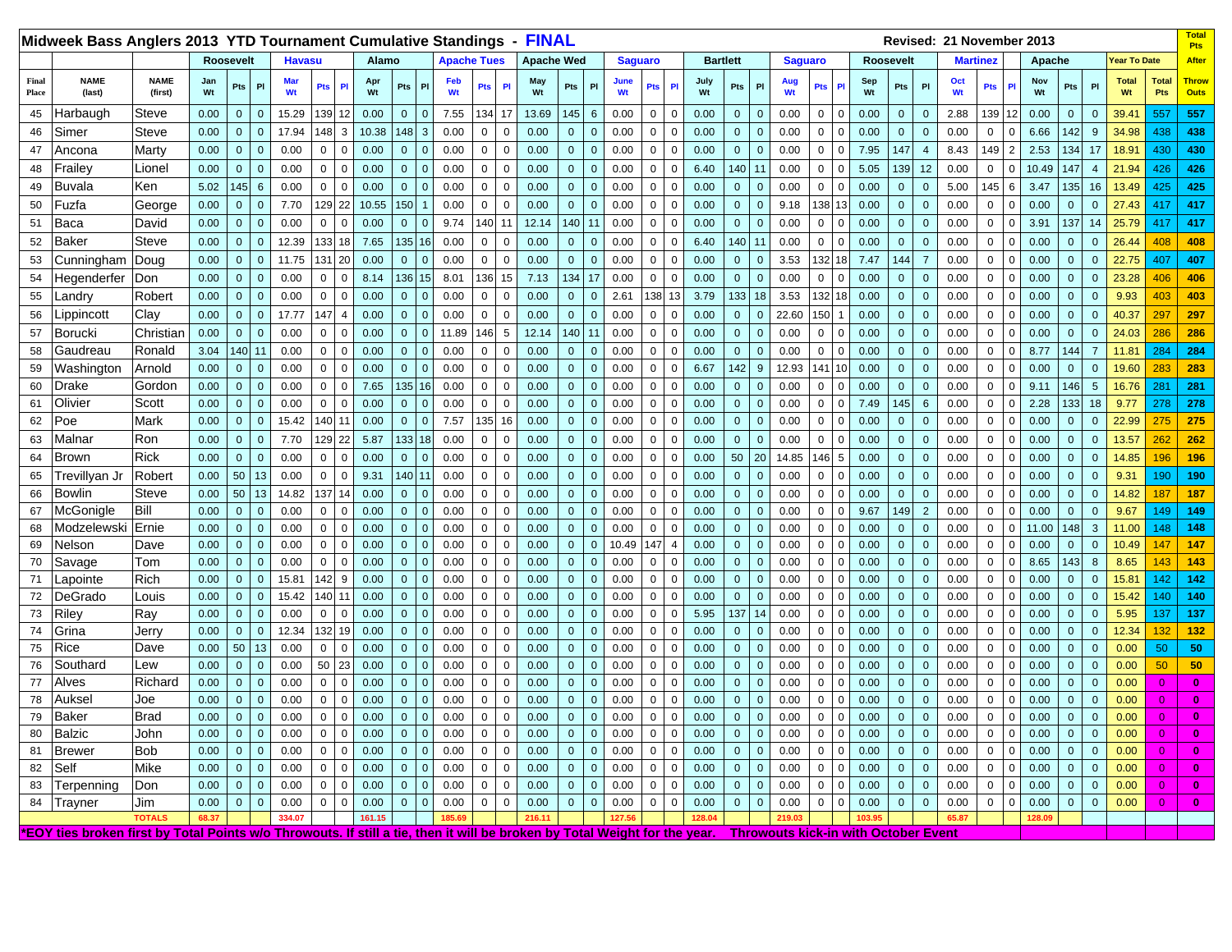| Midweek Bass Anglers 2013 YTD Tournament Cumulative Standings - FINAL                                                     |                        |               |                |                |                  |               |             |                |                |                                |             |                    |                |             |                   |              |              |               |                |                               |                |                 |              |                                             |                 |               |                |              |                | Revised: 21 November 2013 |                 |                |                |                |                |                     |                            | <b>Total</b><br><b>Pts</b>  |
|---------------------------------------------------------------------------------------------------------------------------|------------------------|---------------|----------------|----------------|------------------|---------------|-------------|----------------|----------------|--------------------------------|-------------|--------------------|----------------|-------------|-------------------|--------------|--------------|---------------|----------------|-------------------------------|----------------|-----------------|--------------|---------------------------------------------|-----------------|---------------|----------------|--------------|----------------|---------------------------|-----------------|----------------|----------------|----------------|----------------|---------------------|----------------------------|-----------------------------|
|                                                                                                                           |                        | Roosevelt     |                |                |                  | <b>Havasu</b> |             |                | Alamo          |                                |             | <b>Apache Tues</b> |                |             | <b>Apache Wed</b> |              |              |               | <b>Saguaro</b> |                               |                | <b>Bartlett</b> |              | <b>Saguaro</b>                              |                 |               |                | Roosevelt    |                |                           | <b>Martinez</b> |                | Apache         |                |                | <b>Year To Date</b> |                            | <b>After</b>                |
| <b>NAME</b><br>Final<br>(last)<br>Place                                                                                   | <b>NAME</b><br>(first) | Jan<br>Wt     | Pts            | PI             | <b>Mar</b><br>Wt |               | Pts         | PI             | Apr<br>Wt      | Pts                            | P           | Feb<br>Wt          | Pts            | PI          | May<br>Wt         | Pts          | PI           | June<br>Wt    |                | P<br>Pts                      | July<br>Wt     | Pts             | PI           | Aug<br>Wt                                   | Pts             |               | Sep<br>Wt      | Pts          | $\mathsf{PI}$  | Oct<br>Wt                 | Pts             | PI             | Nov<br>Wt      | Pts            | P <sub>1</sub> | <b>Total</b><br>Wt  | <b>Total</b><br><b>Pts</b> | <b>Throw</b><br><b>Outs</b> |
| Harbaugh<br>45                                                                                                            | Steve                  | 0.00          | $\overline{0}$ | $\mathbf 0$    | 15.29            |               | 139 12      |                | 0.00           | $\mathbf{0}$<br>$\overline{0}$ |             | 7.55               | 134            | 17          | 13.69             | 145          | 6            | 0.00          |                | $\mathbf 0$<br>$\mathbf 0$    | 0.00           | $\mathbf 0$     | $\mathbf{0}$ | 0.00                                        | 0               | $\mathsf{C}$  | 0.00           | $\mathbf 0$  | $\mathbf{0}$   | 2.88                      | 139             | 12             | 0.00           | $\mathbf 0$    | $\mathbf 0$    | 39.41               | 557                        | 557                         |
| 46<br>Simer                                                                                                               | <b>Steve</b>           | 0.00          | $\mathbf{0}$   | $\mathbf{0}$   | 17.94            |               | 148 3       |                | 10.38          | 148<br>$\overline{3}$          |             | 0.00               | $\mathbf{0}$   | $\Omega$    | 0.00              | $\mathbf 0$  | $\mathbf{0}$ | 0.00          |                | $\mathbf 0$<br>$\mathbf 0$    | 0.00           | $\mathbf{0}$    | $\mathbf{0}$ | 0.00                                        | 0               | $\Omega$      | 0.00           | $\mathbf 0$  | $\mathbf{0}$   | 0.00                      | $\mathbf{0}$    | $\Omega$       | 6.66           | 142            | 9              | 34.98               | 438                        | 438                         |
| 47<br>Ancona                                                                                                              | Marty                  | 0.00          | $\mathbf{0}$   | $\mathbf 0$    | 0.00             |               | $\mathbf 0$ | $\mathbf 0$    | 0.00           | $\overline{0}$<br>$\mathbf{0}$ |             | 0.00               | $\mathbf 0$    | $\mathbf 0$ | 0.00              | $\mathbf 0$  | $\mathbf{0}$ | 0.00          |                | $\mathbf 0$<br>$\Omega$       | 0.00           | $\mathbf{0}$    | $\mathbf{0}$ | 0.00                                        | $\mathbf 0$     | $\Omega$      | 7.95           | 147          | $\overline{4}$ | 8.43                      | 149             | $\overline{2}$ | 2.53           | 134            | 17             | 18.91               | 430                        | 430                         |
| Frailey<br>48                                                                                                             | Lionel                 | 0.00          | $\overline{0}$ | $\overline{0}$ | 0.00             |               | $\mathbf 0$ | $\mathbf 0$    | 0.00           | $\mathbf{0}$                   | $\mathbf 0$ | 0.00               | $\overline{0}$ | $\mathbf 0$ | 0.00              | $\mathbf 0$  | $\mathbf{0}$ | 0.00          |                | $\mathbf 0$<br>$\mathbf 0$    | 6.40           | 140             | 11           | 0.00                                        | $\Omega$        | $\Omega$      | 5.05           | 139          | 12             | 0.00                      | $\mathbf 0$     | $\mathbf 0$    | 10.49          | 147            | $\overline{4}$ | 21.94               | 426                        | 426                         |
| 49<br>Buvala                                                                                                              | Ken                    | 5.02          | 145            | $6\phantom{1}$ | 0.00             |               | $\mathbf 0$ | $\mathbf 0$    | 0.00           | $\overline{0}$<br>$\mathbf 0$  |             | 0.00               | $\mathbf{0}$   | $\mathbf 0$ | 0.00              | $\mathbf{0}$ | $\mathbf{0}$ | 0.00          |                | $\mathbf 0$<br>$\mathbf 0$    | 0.00           | $\mathbf{0}$    | $\mathbf{0}$ | 0.00                                        | $\mathbf 0$     | -0            | 0.00           | $\mathbf 0$  | $\mathbf 0$    | 5.00                      | 145             | 6              | 3.47           | 135            | 16             | 13.49               | 425                        | 425                         |
| Fuzfa<br>50                                                                                                               | George                 | 0.00          | $\mathbf{0}$   | $\overline{0}$ | 7.70             |               | 129 22      |                | 10.55          | 150                            |             | 0.00               | $\mathbf 0$    | $\mathbf 0$ | 0.00              | $\mathbf{0}$ | $\mathbf{0}$ | 0.00          |                | $\mathbf 0$<br>$\Omega$       | 0.00           | $\mathbf{0}$    | $\mathbf{0}$ | 9.18                                        | 38              |               | 0.00           | $\mathbf 0$  | $\mathbf 0$    | 0.00                      | $\mathbf 0$     | $\mathbf 0$    | 0.00           | $\mathbf 0$    | $\mathbf 0$    | 27.43               | 417                        | 417                         |
| Baca<br>51                                                                                                                | David                  | 0.00          | $\overline{0}$ | $\overline{0}$ | 0.00             |               | $\mathbf 0$ | 0              | 0.00           | $\mathbf 0$                    | $\mathbf 0$ | 9.74               | 140            | 11          | 12.14             |              | 140<br>11    | 0.00          |                | $\mathbf 0$<br>$\mathbf 0$    | 0.00           | $\mathbf 0$     | $\Omega$     | 0.00                                        | $\Omega$        | C             | 0.00           | $\mathbf 0$  | $\mathbf 0$    | 0.00                      | 0               | $\mathbf 0$    | 3.91           | 137            | 14             | 25.79               | 417                        | 417                         |
| Baker<br>52                                                                                                               | Steve                  | 0.00          | $\overline{0}$ | $\mathbf{0}$   | 12.39            |               | 133         | 18             | 7.65           | 135                            | 16          | 0.00               | $\mathbf 0$    | $\mathbf 0$ | 0.00              | $\mathbf{0}$ | $\mathbf{0}$ | 0.00          |                | $\mathbf 0$<br>$\Omega$       | 6.40           | 140             | 11           | 0.00                                        | $\mathbf 0$     | $\Omega$      | 0.00           | $\mathbf{0}$ | $\mathbf 0$    | 0.00                      | $\mathbf 0$     | $\mathbf 0$    | 0.00           | $\mathbf 0$    | $\overline{0}$ | 26.44               | 408                        | 408                         |
| Cunningham<br>53                                                                                                          | Doug                   | 0.00          | $\overline{0}$ | $\Omega$       | 11.75            |               | 131         | 20             | 0.00           | $\mathbf{0}$<br>$\Omega$       |             | 0.00               | $\Omega$       | $\Omega$    | 0.00              | $\mathbf{0}$ | $\Omega$     | 0.00          |                | $\mathbf 0$<br>$\Omega$       | 0.00           | $\Omega$        |              | 3.53                                        | 32              |               | 7.47           | 144          | $\overline{7}$ | 0.00                      | $\mathbf 0$     | $\Omega$       | 0.00           | $\mathbf{0}$   | $\Omega$       | 22.75               | 407                        | 407                         |
| Hegenderfer<br>54                                                                                                         | Don                    | 0.00          | $\overline{0}$ | $\overline{0}$ | 0.00             |               | 0           | $\mathbf 0$    | 8.14           | 136                            | 15          | 8.01               | 136 15         |             | 7.13              |              | 134<br>17    | 0.00          |                | $\overline{0}$<br>$\mathbf 0$ | 0.00           | $\mathbf{0}$    | $\mathbf{0}$ | 0.00                                        | $\mathbf 0$     | $\mathbf 0$   | 0.00           | $\mathbf{0}$ | $\mathbf 0$    | 0.00                      | $\mathbf 0$     | 0              | 0.00           | $\mathbf 0$    | $\mathbf 0$    | 23.28               | 406                        | 406                         |
| 55<br>_andry                                                                                                              | Robert                 | 0.00          | $\mathbf{0}$   | $\mathbf{0}$   | 0.00             |               | $\mathbf 0$ | $\Omega$       | 0.00           | $\mathbf 0$<br>$\overline{0}$  |             | 0.00               | $\mathbf 0$    | $\mathbf 0$ | 0.00              | $\mathbf 0$  | $\mathbf{0}$ | 2.61          |                | 138<br>13                     | 3.79           | 133             | 18           | 3.53                                        | 132             |               | 0.00           | $\mathbf 0$  | $\mathbf 0$    | 0.00                      | $\mathbf 0$     | $\mathbf 0$    | 0.00           | $\mathbf 0$    | $\mathbf 0$    | 9.93                | 403                        | 403                         |
| ippincott<br>56                                                                                                           | Clay                   | 0.00          | $\overline{0}$ | $\overline{0}$ | 17.77            |               | 147         | $\overline{4}$ | 0.00           | $\Omega$<br>$\mathbf 0$        |             | 0.00               | $\mathbf 0$    | $\Omega$    | 0.00              | $\mathbf{0}$ | $\Omega$     | 0.00          |                | $\mathbf 0$<br>$\mathbf 0$    | 0.00           | $\Omega$        | $\Omega$     | 22.60                                       | 150             |               | 0.00           | $\mathbf{0}$ | $\mathbf 0$    | 0.00                      | 0               | $\Omega$       | 0.00           | $\mathbf 0$    | $\Omega$       | 40.37               | 297                        | 297                         |
| Borucki<br>57                                                                                                             | Christian              | 0.00          | $\overline{0}$ | $\overline{0}$ | 0.00             |               | $\mathbf 0$ | $\overline{0}$ | 0.00           | $\mathbf{0}$                   | $\mathbf 0$ | 11.89              | 146            | 5           | 12.14             |              | 140<br>11    | 0.00          |                | $\mathbf 0$<br>$\mathbf 0$    | 0.00           | $\mathbf{0}$    | $\mathbf{0}$ | 0.00                                        | $\mathbf 0$     | -0            | 0.00           | $\mathbf{0}$ | $\mathbf 0$    | 0.00                      | $\mathbf 0$     | $\mathbf 0$    | 0.00           | $\mathbf 0$    | $\mathbf 0$    | 24.03               | 286                        | 286                         |
| Gaudreau<br>58                                                                                                            | Ronald                 | 3.04          | 140            | 11             | 0.00             |               | $\mathbf 0$ | $\Omega$       | 0.00           | $\Omega$<br>$\mathbf 0$        |             | 0.00               | $\mathbf 0$    | $\mathbf 0$ | 0.00              | $\mathbf 0$  | $\Omega$     | 0.00          |                | $\mathbf 0$<br>$\Omega$       | 0.00           | $\mathbf{0}$    | $\mathbf{0}$ | 0.00                                        | $\mathbf 0$     | $\mathcal{C}$ | 0.00           | $\mathbf 0$  | $\mathbf 0$    | 0.00                      | $\mathbf 0$     | $\mathbf 0$    | 8.77           | 144            | $\overline{7}$ | 11.81               | 284                        | 284                         |
| 59<br>Washington                                                                                                          | Arnold                 | 0.00          | $\overline{0}$ | $\overline{0}$ | 0.00             |               | $\mathbf 0$ | $\Omega$       | 0.00           | $\Omega$<br>$\mathbf{0}$       |             | 0.00               | $\Omega$       | $\Omega$    | 0.00              | $\Omega$     | $\Omega$     | 0.00          |                | $\mathbf 0$<br>$\Omega$       | 6.67           | 142             | 9            | 12.93                                       | 14 <sup>′</sup> |               | 0.00           | $\Omega$     | $\mathbf{0}$   | 0.00                      | $\mathbf 0$     | $\Omega$       | 0.00           | $\Omega$       | $\Omega$       | 19.60               | 283                        | 283                         |
| Drake<br>60                                                                                                               | Gordon                 | 0.00          | $\overline{0}$ | $\mathbf{0}$   | 0.00             |               | $\mathbf 0$ | 0              | 7.65           | 135                            | 16          | 0.00               | $\overline{0}$ | $\Omega$    | 0.00              | $\mathbf 0$  | $\Omega$     | 0.00          |                | $\mathbf 0$<br>$\mathbf 0$    | 0.00           | $\Omega$        | $\Omega$     | 0.00                                        | $\Omega$        | $\mathsf{C}$  | 0.00           | $\mathbf{0}$ | $\mathbf 0$    | 0.00                      | $\mathbf 0$     | $\Omega$       | 9.11           | 146            | $\sqrt{5}$     | 16.76               | 281                        | 281                         |
| Olivier<br>61                                                                                                             | Scott                  | 0.00          | $\overline{0}$ | $\overline{0}$ | 0.00             |               | $\mathbf 0$ | $\mathbf 0$    | 0.00           | $\mathbf 0$<br>$\overline{0}$  |             | 0.00               | $\mathbf{0}$   | $\mathbf 0$ | 0.00              | $\mathbf 0$  | $\mathbf{0}$ | 0.00          |                | $\mathbf 0$<br>$\mathbf 0$    | 0.00           | $\mathbf{0}$    | $\mathbf{0}$ | 0.00                                        | 0               | -0            | 7.49           | 145          | 6              | 0.00                      | $\mathbf{0}$    | $\mathbf 0$    | 2.28           | 133            | 18             | 9.77                | 278                        | 278                         |
| Poe<br>62                                                                                                                 | Mark                   | 0.00          | $\mathbf{0}$   | $\mathbf{0}$   | 15.42            |               | 140         | 11             | 0.00           | $\mathbf{0}$                   | $\mathbf 0$ | 7.57               | 135            | 16          | 0.00              | $\mathbf{0}$ | $\mathbf{0}$ | 0.00          |                | $\mathbf 0$<br>$\overline{0}$ | 0.00           | $\overline{0}$  | $\mathbf{0}$ | 0.00                                        | $\mathbf 0$     | $\Omega$      | 0.00           | $\mathbf{0}$ | $\mathbf 0$    | 0.00                      | $\mathbf 0$     | $\mathbf 0$    | 0.00           | $\mathbf 0$    | $\mathbf 0$    | 22.99               | 275                        | 275                         |
| Malnar<br>63                                                                                                              | Ron                    | 0.00          | $\mathbf{0}$   | $\overline{0}$ | 7.70             |               | 129 22      |                | 5.87           | 133                            | 18          | 0.00               | $\mathbf{0}$   | $\Omega$    | 0.00              | $\mathbf 0$  | $\Omega$     | 0.00          |                | $\mathbf 0$<br>$\Omega$       | 0.00           | $\Omega$        | $\mathbf{0}$ | 0.00                                        | $\Omega$        | $\mathsf{C}$  | 0.00           | $\mathbf 0$  | $\mathbf{0}$   | 0.00                      | $\mathbf{0}$    | $\mathbf 0$    | 0.00           | $\mathbf 0$    | $\mathbf 0$    | 13.57               | 262                        | 262                         |
| 64<br>Brown                                                                                                               | <b>Rick</b>            | 0.00          | $\mathbf{0}$   | $\mathbf{0}$   | 0.00             |               | $\mathbf 0$ | $\mathbf 0$    | 0.00           | $\overline{0}$<br>$\mathbf{0}$ |             | 0.00               | $\mathbf{0}$   | $\mathbf 0$ | 0.00              | $\mathbf{0}$ | $\mathbf{0}$ | 0.00          |                | $\mathbf 0$<br>$\mathbf 0$    | 0.00           | 50              | 20           | 14.85                                       | 146             | -5            | 0.00           | $\mathbf 0$  | $\mathbf 0$    | 0.00                      | $\mathbf{0}$    | $\mathbf 0$    | 0.00           | $\mathbf 0$    | $\overline{0}$ | 14.85               | 196                        | 196                         |
| Trevillyan Jr<br>65                                                                                                       | Robert                 | 0.00          | 50             | 13             | 0.00             |               | $\mathbf 0$ | $\mathbf 0$    | 9.31           | 140<br>11                      |             | 0.00               | $\mathbf 0$    | $\Omega$    | 0.00              | $\mathbf{0}$ | $\Omega$     | 0.00          |                | $\mathbf 0$<br>$\Omega$       | 0.00           | $\mathbf{0}$    | $\Omega$     | 0.00                                        | 0               | $\sqrt{ }$    | 0.00           | $\mathbf{0}$ | $\mathbf{0}$   | 0.00                      | $\mathbf{0}$    | $\mathbf 0$    | 0.00           | $\mathbf 0$    | $\overline{0}$ | 9.31                | 190                        | 190                         |
| Bowlin<br>66                                                                                                              | Steve                  | 0.00          | $50\,$         | 13             | 14.82            |               | 137         |                | 0.00           | $\mathbf{0}$<br>$\Omega$       |             | 0.00               | $\overline{0}$ | $\Omega$    | 0.00              | $\pmb{0}$    | $\Omega$     | 0.00          |                | $\mathbf 0$<br>$\mathbf 0$    | 0.00           | $\Omega$        | $\Omega$     | 0.00                                        | $\Omega$        | $\mathcal{C}$ | 0.00           | $\mathbf 0$  | $\Omega$       | 0.00                      | $\mathbf 0$     | $\Omega$       | 0.00           | $\mathbf 0$    | $\overline{0}$ | 14.82               | 187                        | 187                         |
| McGonigle<br>67                                                                                                           | Bill                   | 0.00          | $\mathbf{0}$   | $\mathbf{0}$   | 0.00             |               | $\mathbf 0$ | $\Omega$       | 0.00           | $\overline{0}$                 | $\mathbf 0$ | 0.00               | $\overline{0}$ | $\mathbf 0$ | 0.00              | $\pmb{0}$    | $\Omega$     | 0.00          |                | $\mathbf 0$<br>$\mathbf 0$    | 0.00           | $\overline{0}$  | $\Omega$     | 0.00                                        | $\Omega$        | $\Omega$      | 9.67           | 149          | $\overline{2}$ | 0.00                      | $\mathbf 0$     | $\Omega$       | 0.00           | $\mathbf 0$    | $\mathbf 0$    | 9.67                | 149                        | 149                         |
| Modzelewski<br>68                                                                                                         | Ernie                  | 0.00          | $\overline{0}$ | $\mathbf{0}$   | 0.00             |               | $\mathbf 0$ | $\mathbf 0$    | 0.00           | $\mathbf{0}$                   | $\mathbf 0$ | 0.00               | $\overline{0}$ | $\mathbf 0$ | 0.00              | $\mathbf{0}$ | $\mathbf{0}$ | 0.00          |                | $\mathbf 0$<br>$\mathbf 0$    | 0.00           | $\overline{0}$  | $\mathbf{0}$ | 0.00                                        | $\mathbf 0$     | $\Omega$      | 0.00           | $\mathbf{0}$ | $\mathbf 0$    | 0.00                      | $\mathbf 0$     | $\mathsf 0$    | 11.00          | 148            | $\mathbf{3}$   | 11.00               | 148                        | 148                         |
| 69<br>Nelson                                                                                                              | Dave                   | 0.00          | $\mathbf{0}$   | $\mathbf{0}$   | 0.00             |               | $\mathbf 0$ | $\mathbf 0$    | 0.00           | $\overline{0}$<br>$\mathbf 0$  |             | 0.00               | $\mathbf 0$    | $\mathbf 0$ | 0.00              | $\mathbf 0$  | $\Omega$     | 10.49         |                | 147<br>$\overline{4}$         | 0.00           | $\mathbf 0$     | $\mathbf{0}$ | 0.00                                        | 0               | $\sqrt{ }$    | 0.00           | $\mathbf{0}$ | $\mathbf 0$    | 0.00                      | $\mathbf 0$     | $\Omega$       | 0.00           | $\mathbf 0$    | $\overline{0}$ | 10.49               | 147                        | 147                         |
| 70<br>Savage                                                                                                              | Tom                    | 0.00          | $\mathbf{0}$   | $\mathbf 0$    | 0.00             |               | $\mathbf 0$ | $\mathbf 0$    | 0.00           | $\mathbf{0}$<br>$\overline{0}$ |             | 0.00               | $\mathbf 0$    | $\mathbf 0$ | 0.00              | $\mathbf{0}$ | $\mathbf{0}$ | 0.00          |                | $\mathbf 0$<br>$\mathbf 0$    | 0.00           | $\mathbf{0}$    | $\mathbf{0}$ | 0.00                                        | 0               | $\Omega$      | 0.00           | $\mathbf{0}$ | $\mathbf 0$    | 0.00                      | $\mathbf 0$     | $\mathbf 0$    | 8.65           | 143            | 8              | 8.65                | 143                        | 143                         |
| 71<br>_apointe                                                                                                            | Rich                   | 0.00          | $\overline{0}$ | $\overline{0}$ | 15.81            |               | 142         | 9              | 0.00           | $\mathbf 0$<br>$\Omega$        |             | 0.00               | $\mathbf 0$    | $\mathbf 0$ | 0.00              | $\mathbf{0}$ |              | 0.00          |                | $\mathbf 0$<br>0              | 0.00           | $\mathbf 0$     | $\Omega$     | 0.00                                        | 0               |               | 0.00           | $\mathbf 0$  | $\Omega$       | 0.00                      | 0               | $\mathbf 0$    | 0.00           | $\mathbf 0$    | $\mathbf 0$    | 15.81               | 142                        | 142                         |
| 72<br>DeGrado                                                                                                             | Louis                  | 0.00          | $\mathbf{0}$   | $\overline{0}$ | 15.42            |               | 140         |                | 0.00           | $\mathbf{0}$<br>$\Omega$       |             | 0.00               | $\overline{0}$ | $\Omega$    | 0.00              | $\mathbf{0}$ |              | 0.00          |                | $\mathbf 0$<br>$\Omega$       | 0.00           | $\mathbf 0$     | $\Omega$     | 0.00                                        | $\Omega$        |               | 0.00           | $\mathbf{0}$ | $\Omega$       | 0.00                      | $\mathbf 0$     | $\Omega$       | 0.00           | $\mathbf{0}$   | $\Omega$       | 15.42               | 140                        | 140                         |
| Riley<br>73                                                                                                               | Ray                    | 0.00          | $\bullet$      | $\overline{0}$ | 0.00             |               | $\mathbf 0$ | $\mathbf 0$    | 0.00           | $\mathbf{0}$<br>$\Omega$       |             | 0.00               | $\overline{0}$ | $\Omega$    | 0.00              | $\mathbf 0$  | $\Omega$     | 0.00          |                | $\mathbf 0$<br>$\mathbf 0$    | 5.95           | 137             | 14           | 0.00                                        | $\Omega$        | $\mathcal{C}$ | 0.00           | $\mathbf{0}$ | $\mathbf{0}$   | 0.00                      | 0               | $\Omega$       | 0.00           | $\mathbf 0$    | $\overline{0}$ | 5.95                | 137                        | 137                         |
| 74<br>Grina                                                                                                               | Jerry                  | 0.00          | $\bullet$      | $\overline{0}$ | 12.34            |               | 132         | 19             | 0.00           | $\mathbf{0}$<br>$\Omega$       |             | 0.00               | $\overline{0}$ | $\mathbf 0$ | 0.00              | $\Omega$     | $\Omega$     | 0.00          |                | $\mathbf 0$<br>$\mathbf 0$    | 0.00           | $\Omega$        | $\Omega$     | 0.00                                        | $\Omega$        | $\Omega$      | 0.00           | $\mathbf{0}$ | $\mathbf{0}$   | 0.00                      | $\mathbf{0}$    | $\mathbf 0$    | 0.00           | $\mathbf{0}$   | $\Omega$       | 12.34               | 132                        | 132                         |
| 75<br>Rice                                                                                                                | Dave                   | 0.00          | 50             | 13             | 0.00             |               | $\mathsf 0$ | $\mathbf 0$    | 0.00           | $\mathbf{0}$<br>$\Omega$       |             | 0.00               | $\overline{0}$ | $\mathbf 0$ | 0.00              | $\mathbf{0}$ | $\mathbf{0}$ | 0.00          |                | $\mathbf 0$<br>$\Omega$       | 0.00           | $\overline{0}$  | $\mathbf{0}$ | 0.00                                        | $\mathbf 0$     | $\Omega$      | 0.00           | $\mathbf{0}$ | $\mathbf{0}$   | 0.00                      | $\mathbf{0}$    | $\mathbf 0$    | 0.00           | $\mathbf 0$    | $\overline{0}$ | 0.00                | 50                         | 50                          |
| Southard<br>76                                                                                                            | Lew                    | 0.00          | $\mathbf 0$    | $\overline{0}$ | 0.00             |               | 50          | 23             | 0.00           | $\Omega$<br>$\mathbf 0$        |             | 0.00               | $\mathsf 0$    | $\Omega$    | 0.00              | $\mathbf{0}$ | $\Omega$     | 0.00          |                | $\mathsf 0$<br>$\Omega$       | 0.00           | $\Omega$        | $\mathbf 0$  | 0.00                                        | $\Omega$        |               | 0.00           | $\mathbf 0$  | $\mathbf 0$    | 0.00                      | $\mathbf 0$     | $\Omega$       | 0.00           | $\mathbf 0$    | $\mathbf 0$    | 0.00                | 50                         | 50                          |
| 77<br>Alves                                                                                                               | Richard                | 0.00          | $\mathbf{0}$   | $\overline{0}$ | 0.00             |               | 0           | $\Omega$       | 0.00           | $\mathbf 0$<br>$\Omega$        |             | 0.00               | $\mathbf 0$    | $\Omega$    | 0.00              | $\mathbf{0}$ | $\Omega$     | 0.00          |                | $\mathbf 0$<br>$\Omega$       | 0.00           | $\mathbf{0}$    | $\mathbf{0}$ | 0.00                                        | 0               | $\mathcal{C}$ | 0.00           | $\Omega$     | $\mathbf 0$    | 0.00                      | 0               | $\mathbf 0$    | 0.00           | $\mathbf 0$    | $\Omega$       | 0.00                | $\Omega$                   | $\mathbf{0}$                |
| Auksel<br>78                                                                                                              | Joe                    | 0.00          | $\mathbf{0}$   | $\mathbf 0$    | 0.00             |               | 0           | $\Omega$       | 0.00           | $\mathbf 0$<br>$\overline{0}$  |             | 0.00               | $\mathbf 0$    | $\mathbf 0$ | 0.00              | $\mathbf{0}$ | $\Omega$     | 0.00          |                | $\mathbf 0$<br>$\mathbf 0$    | 0.00           | $\mathbf{0}$    | $\Omega$     | 0.00                                        | 0               |               | 0.00           | $\mathbf 0$  | $\Omega$       | 0.00                      | 0               | $\mathbf 0$    | 0.00           | $\mathbf 0$    | $\mathbf{0}$   | 0.00                | $\Omega$                   | 0                           |
| 79<br>Baker                                                                                                               | <b>Brad</b>            | 0.00          | $\mathbf{0}$   | $\overline{0}$ | 0.00             |               | $\mathbf 0$ | $\mathbf 0$    | 0.00           | $\mathbf{0}$                   | $\mathbf 0$ | 0.00               | $\mathbf{0}$   | $\mathbf 0$ | 0.00              | $\mathbf{0}$ | $\mathbf{0}$ | 0.00          |                | $\mathbf 0$<br>$\mathbf 0$    | 0.00           | $\mathbf{0}$    | $\mathbf{0}$ | 0.00                                        | 0               | $\Omega$      | 0.00           | $\mathbf 0$  | $\mathbf{0}$   | 0.00                      | 0               | $\Omega$       | 0.00           | $\mathbf 0$    | $\mathbf{0}$   | 0.00                | $\overline{0}$             | $\bf{0}$                    |
| Balzic<br>80                                                                                                              | John                   | 0.00          | $\mathbf{0}$   | $\mathbf{0}$   | 0.00             |               | $\mathbf 0$ | $\mathbf 0$    | 0.00           | $\overline{0}$<br>$\mathbf 0$  |             | 0.00               | $\overline{0}$ | $\mathbf 0$ | 0.00              | $\mathbf{0}$ | $\mathbf{0}$ | 0.00          |                | $\mathbf 0$<br>$\mathbf 0$    | 0.00           | $\overline{0}$  | $\mathbf{0}$ | 0.00                                        | $\mathbf 0$     | $\Omega$      | 0.00           | $\mathbf{0}$ | $\mathbf 0$    | 0.00                      | $\mathbf 0$     | $\mathbf 0$    | 0.00           | $\mathbf 0$    | $\mathbf{0}$   | 0.00                | $\overline{0}$             | $\bf{0}$                    |
| 81<br>Brewer                                                                                                              | <b>Bob</b>             | 0.00          | $\mathbf{0}$   | $\mathbf{0}$   | 0.00             |               | $\mathbf 0$ | $\mathbf 0$    | 0.00           | $\Omega$<br>$\mathbf{0}$       |             | 0.00               | $\overline{0}$ | $\mathbf 0$ | 0.00              | $\mathbf{0}$ | $\mathbf{0}$ | 0.00          |                | $\mathbf 0$<br>$\Omega$       | 0.00           | $\mathbf{0}$    | $\mathbf{0}$ | 0.00                                        | $\Omega$        | $\mathcal{C}$ | 0.00           | $\mathbf{0}$ | $\mathbf 0$    | 0.00                      | $\mathbf 0$     | $\Omega$       | 0.00           | $\mathbf 0$    | $\overline{0}$ | 0.00                | $\Omega$                   | $\bf{0}$                    |
| Self<br>82                                                                                                                | Mike                   | 0.00          | $\mathbf{0}$   | $\mathbf{0}$   | 0.00             |               | $\mathbf 0$ | $\Omega$       | 0.00           | $\overline{0}$<br>$\mathbf 0$  |             | 0.00               | $\mathbf 0$    | $\Omega$    | 0.00              | $\mathbf{0}$ | $\mathbf{0}$ | 0.00          |                | $\mathbf 0$<br>$\Omega$       | 0.00           | $\overline{0}$  | $\mathbf{0}$ | 0.00                                        | 0               | $\sqrt{ }$    | 0.00           | $\mathbf 0$  | $\mathbf 0$    | 0.00                      | $\mathbf 0$     | $\Omega$       | 0.00           | $\mathbf 0$    | $\mathbf{0}$   | 0.00                | $\Omega$                   | $\bf{0}$                    |
| 83<br>Terpenning                                                                                                          | Don                    | 0.00          | $\mathbf{0}$   | $\Omega$       | 0.00             |               | $\mathbf 0$ | $\Omega$       | 0.00           | $\mathbf{0}$<br>$\Omega$       |             | 0.00               | $\mathbf 0$    | $\Omega$    | 0.00              | $\mathbf{0}$ |              | 0.00          |                | $\mathbf 0$<br>$\Omega$       | 0.00           | $\mathbf{0}$    | $\Omega$     | 0.00                                        | $\mathbf 0$     |               | 0.00           | $\mathbf 0$  | $\Omega$       | 0.00                      | $\mathbf 0$     | $\Omega$       | 0.00           | $\overline{0}$ | $\mathbf{0}$   | 0.00                | $\Omega$                   | $\bf{0}$                    |
| 84<br>Trayner                                                                                                             | Jim<br><b>TOTALS</b>   | 0.00<br>68.37 | $\overline{0}$ | $\Omega$       | 0.00<br>334.07   |               | $\Omega$    | $\Omega$       | 0.00<br>161.15 | $\Omega$<br>$\Omega$           |             | 0.00<br>185.69     | $\Omega$       | $\Omega$    | 0.00<br>216.11    | $\Omega$     | $\Omega$     | 0.00<br>127.5 |                | $\mathbf 0$<br>$\Omega$       | 0.00<br>128.04 | $\Omega$        | $\mathbf{0}$ | 0.00<br>219.03                              | $\Omega$        | $\mathcal{C}$ | 0.00<br>103.95 | $\Omega$     | $\Omega$       | 0.00<br>65.87             | $\mathbf 0$     | $\Omega$       | 0.00<br>128.09 | $\Omega$       | $\Omega$       | 0.00                | $\overline{0}$             | $\bf{0}$                    |
| *EOY ties broken first by Total Points w/o Throwouts. If still a tie, then it will be broken by Total Weight for the year |                        |               |                |                |                  |               |             |                |                |                                |             |                    |                |             |                   |              |              |               |                |                               |                |                 |              | <u>Throwouts kick-in with October Event</u> |                 |               |                |              |                |                           |                 |                |                |                |                |                     |                            |                             |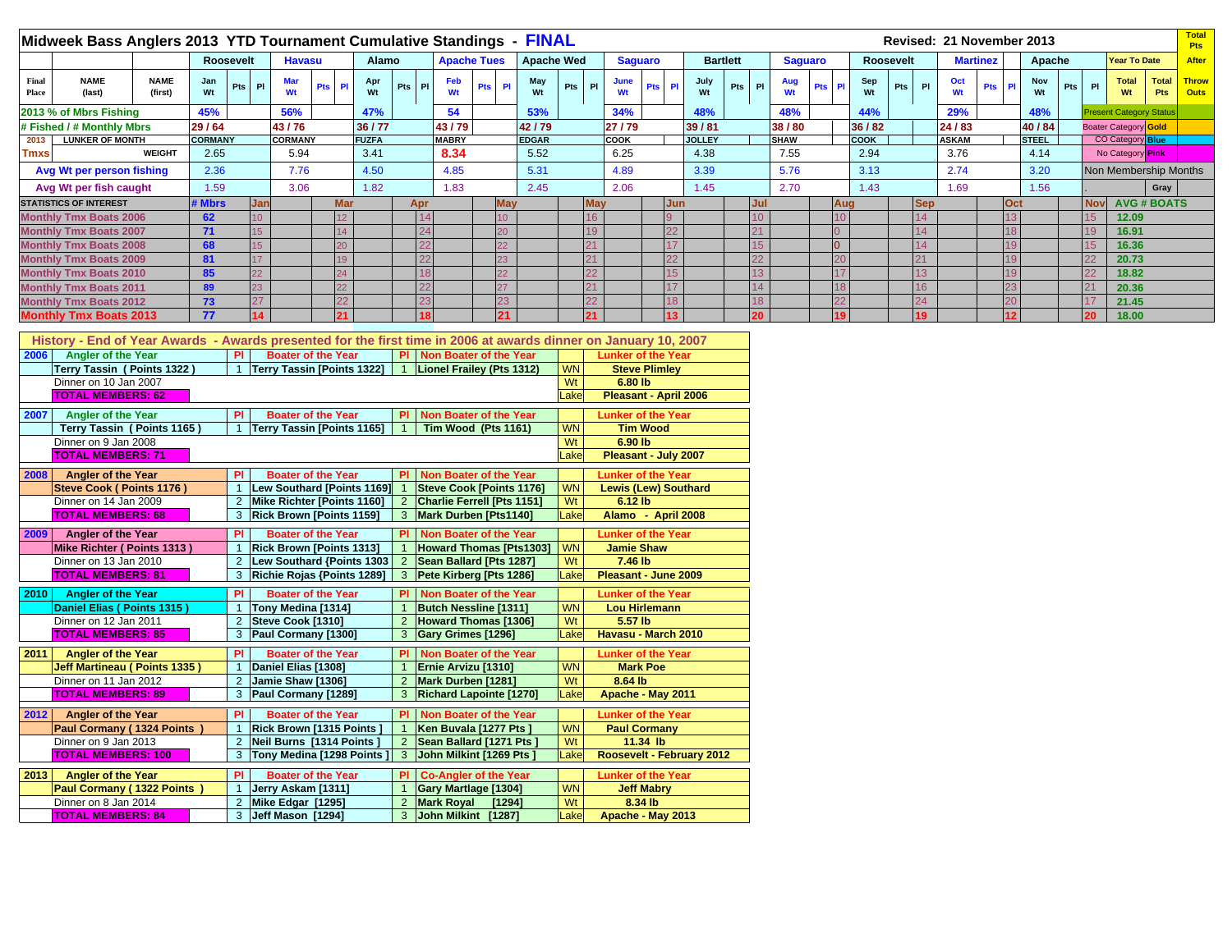|                | Midweek Bass Anglers 2013 YTD Tournament Cumulative Standings - |                        |                  |            |                  |                  |              |           |              |                    | <b>FINAL</b>      |            |            |                         |               |                  |             |                |             |           |            | Revised: 21 November 2013 |                 |              |     |            |                                |                            | <b>Total</b><br><b>Pts</b> |
|----------------|-----------------------------------------------------------------|------------------------|------------------|------------|------------------|------------------|--------------|-----------|--------------|--------------------|-------------------|------------|------------|-------------------------|---------------|------------------|-------------|----------------|-------------|-----------|------------|---------------------------|-----------------|--------------|-----|------------|--------------------------------|----------------------------|----------------------------|
|                |                                                                 |                        | <b>Roosevelt</b> |            | <b>Havasu</b>    |                  | <b>Alamo</b> |           |              | <b>Apache Tues</b> | <b>Apache Wed</b> |            | Saguaro    |                         |               | <b>Bartlett</b>  |             | <b>Saguaro</b> |             | Roosevelt |            |                           | <b>Martinez</b> | Apache       |     |            | <b>Year To Date</b>            |                            | <b>After</b>               |
| Final<br>Place | <b>NAME</b><br>(last)                                           | <b>NAME</b><br>(first) | Jan<br>Wt        | Pts<br>P1  | <b>Mar</b><br>Wt | <b>Pts</b><br>PI | Apr<br>Wt    | PI<br>Pts | Feb          | Pts Pl             | May<br>Wt         | Pts<br>P   | June<br>Wt | <b>Pts</b><br><b>PI</b> | July<br>Wt    | Pts<br><b>PI</b> | Aug<br>Wt   | <b>Pts</b>     | Sep         | Pts<br>Wt | <b>PI</b>  | Oct<br>Wt                 | <b>Pts</b>      | Nov<br>Wt    | Pts | PI         | <b>Total</b><br>Wt             | <b>Total</b><br><b>Pts</b> | Throw<br>Outs              |
|                | 2013 % of Mbrs Fishing                                          |                        | 45%              |            | 56%              |                  | 47%          |           | 54           |                    | 53%               |            | 34%        |                         | 48%           |                  | 48%         |                | 44%         |           |            | 29%                       |                 | 48%          |     |            | <b>Present Category Status</b> |                            |                            |
|                | # Fished / # Monthly Mbrs                                       |                        | 29/64            |            | 43/76            |                  | 36/77        |           | 43/79        |                    | 42/79             |            | 27/79      |                         | 39/81         |                  | 38/80       |                | 36 / 82     |           |            | 24/83                     |                 | 40 / 84      |     |            | Boater Category Gold           |                            |                            |
| 2013           | <b>LUNKER OF MONTH</b>                                          |                        | <b>CORMANY</b>   |            | <b>CORMANY</b>   |                  | <b>FUZFA</b> |           | <b>MABRY</b> |                    | <b>EDGAR</b>      |            | COOK       |                         | <b>JOLLEY</b> |                  | <b>SHAW</b> |                | <b>COOK</b> |           |            | <b>ASKAM</b>              |                 | <b>STEEL</b> |     |            | <b>CO Category Blue</b>        |                            |                            |
| <b>Tmxs</b>    |                                                                 | <b>WEIGHT</b>          | 2.65             |            | 5.94             |                  | 3.41         |           | 8.34         |                    | 5.52              |            | 6.25       |                         | 4.38          |                  | 7.55        |                | 2.94        |           |            | 3.76                      |                 | 4.14         |     |            | No Category Pink               |                            |                            |
|                | Avg Wt per person fishing                                       |                        | 2.36             |            | 7.76             |                  | 4.50         |           | 4.85         |                    | 5.31              |            | 4.89       |                         | 3.39          |                  | 5.76        |                | 3.13        |           |            | 2.74                      |                 | 3.20         |     |            | Non Membership Months          |                            |                            |
|                | Avg Wt per fish caught                                          |                        | 1.59             |            | 3.06             |                  | 1.82         |           | 1.83         |                    | 2.45              |            | 2.06       |                         | 1.45          |                  | 2.70        |                |             | 1.43      |            | 1.69                      |                 | 1.56         |     |            |                                | Gray                       |                            |
|                | <b>STATISTICS OF INTEREST</b>                                   |                        | # Mbrs           | <b>Jan</b> |                  | <b>Mar</b>       |              | Apr       |              | <b>May</b>         |                   | <b>May</b> |            | <b>Jun</b>              |               | Jul              |             |                | Aug         |           | <b>Sep</b> |                           | Oct             |              |     | <b>Nov</b> | <b>AVG # BOATS</b>             |                            |                            |
|                | <b>Monthly Tmx Boats 2006</b>                                   |                        | 62               |            |                  |                  |              | 14        |              | 10                 |                   |            |            | q                       |               |                  |             |                |             |           | 14         |                           |                 |              |     |            | 12.09                          |                            |                            |
|                | <b>Monthly Tmx Boats 2007</b>                                   |                        | 71               |            |                  |                  |              | 24        |              | 20                 |                   |            |            |                         |               |                  |             |                |             |           | 14         |                           |                 |              |     |            | 16.91                          |                            |                            |
|                | <b>Monthly Tmx Boats 2008</b>                                   |                        | 68               |            |                  |                  |              | 22        |              | 22                 |                   |            |            |                         |               |                  |             |                |             |           | 14         |                           |                 |              |     |            | 16.36                          |                            |                            |
|                | <b>Monthly Tmx Boats 2009</b>                                   |                        | 81               |            |                  |                  |              | 22        |              | 23                 |                   |            |            |                         |               |                  |             |                |             |           |            |                           |                 |              |     |            | 20.73                          |                            |                            |
|                | <b>Monthly Tmx Boats 2010</b>                                   |                        | 85               | 22         |                  |                  |              | 18        |              | 22                 |                   |            |            | 15                      |               |                  |             |                |             |           | 13         |                           |                 |              |     | 22         | 18.82                          |                            |                            |
|                | <b>Monthly Tmx Boats 2011</b>                                   |                        | 89               | 23         |                  |                  |              | 22        |              | 27                 |                   |            |            |                         |               |                  |             |                |             |           | 16         |                           |                 |              |     |            | 20.36                          |                            |                            |
|                | <b>Monthly Tmx Boats 2012</b>                                   |                        | 73               | 27         |                  | 22               |              | 23        |              | 23                 |                   |            |            | 18                      |               |                  |             |                |             |           | 24         |                           |                 |              |     |            | 21.45                          |                            |                            |
|                | <b>Monthly Tmx Boats 2013</b>                                   |                        | 77               |            |                  |                  |              | 18        |              | 21                 |                   |            |            |                         |               |                  |             |                | 19          |           | 19         |                           |                 |              |     |            | 18.00                          |                            |                            |

|      | History - End of Year Awards - Awards presented for the first time in 2006 at awards dinner on January 10, 2007 |                |                                   |                |                                   |           |                             |
|------|-----------------------------------------------------------------------------------------------------------------|----------------|-----------------------------------|----------------|-----------------------------------|-----------|-----------------------------|
| 2006 | <b>Angler of the Year</b>                                                                                       | <b>PI</b>      | <b>Boater of the Year</b>         | PI I           | Non Boater of the Year            |           | <b>Lunker of the Year</b>   |
|      | Terrv Tassin(Points 1322)                                                                                       | $\overline{1}$ | <b>Terry Tassin [Points 1322]</b> | 1              | Lionel Frailey (Pts 1312)         | <b>WN</b> | <b>Steve Plimlev</b>        |
|      | Dinner on 10 Jan 2007                                                                                           |                |                                   |                |                                   | Wt        | 6.80 lb                     |
|      | <b>TOTAL MEMBERS: 62</b>                                                                                        |                |                                   |                |                                   | Lake      | Pleasant - April 2006       |
| 2007 | <b>Angler of the Year</b>                                                                                       | PI             | <b>Boater of the Year</b>         | <b>PI</b>      | <b>Non Boater of the Year</b>     |           | <b>Lunker of the Year</b>   |
|      | Terry Tassin (Points 1165)                                                                                      | $\overline{1}$ | <b>Terry Tassin [Points 1165]</b> | $\mathbf{1}$   | Tim Wood (Pts 1161)               | <b>WN</b> | <b>Tim Wood</b>             |
|      | Dinner on 9 Jan 2008                                                                                            |                |                                   |                |                                   | Wt        | 6.90 lb                     |
|      | <b>TOTAL MEMBERS: 71</b>                                                                                        |                |                                   |                |                                   | Lake      | Pleasant - July 2007        |
|      |                                                                                                                 |                |                                   |                |                                   |           |                             |
| 2008 | <b>Angler of the Year</b>                                                                                       | PI             | <b>Boater of the Year</b>         | PI.            | Non Boater of the Year            |           | <b>Lunker of the Year</b>   |
|      | <b>Steve Cook (Points 1176)</b>                                                                                 | $\mathbf{1}$   | <b>Lew Southard [Points 1169]</b> |                | <b>Steve Cook [Points 1176]</b>   | <b>WN</b> | <b>Lewis (Lew) Southard</b> |
|      | Dinner on 14 Jan 2009                                                                                           | $\overline{2}$ | Mike Richter [Points 1160]        | $\overline{2}$ | <b>Charlie Ferrell [Pts 1151]</b> | Wt        | 6.12 lb                     |
|      | <b>TOTAL MEMBERS: 68</b>                                                                                        | 3              | <b>Rick Brown [Points 1159]</b>   | 3              | Mark Durben [Pts1140]             | Lake      | Alamo - April 2008          |
| 2009 | <b>Angler of the Year</b>                                                                                       | PI             | <b>Boater of the Year</b>         | PI.            | Non Boater of the Year            |           | <b>Lunker of the Year</b>   |
|      | Mike Richter (Points 1313)                                                                                      | $\mathbf{1}$   | <b>Rick Brown [Points 1313]</b>   |                | <b>Howard Thomas [Pts1303]</b>    | <b>WN</b> | <b>Jamie Shaw</b>           |
|      | Dinner on 13 Jan 2010                                                                                           | $\overline{2}$ | Lew Southard {Points 1303         | $\overline{2}$ | Sean Ballard [Pts 1287]           | Wt        | 7.46 lb                     |
|      | <b>TOTAL MEMBERS: 81</b>                                                                                        | 3              | <b>Richie Rojas {Points 1289]</b> | $\mathbf{3}$   | Pete Kirberg [Pts 1286]           | Lake      | Pleasant - June 2009        |
|      |                                                                                                                 |                |                                   |                |                                   |           |                             |
| 2010 | <b>Angler of the Year</b>                                                                                       | PI             | <b>Boater of the Year</b>         | PI.            | Non Boater of the Year            |           | <b>Lunker of the Year</b>   |
|      | Daniel Elias (Points 1315)                                                                                      | -1             | Tony Medina [1314]                |                | <b>Butch Nessline [1311]</b>      | <b>WN</b> | <b>Lou Hirlemann</b>        |
|      | Dinner on 12 Jan 2011                                                                                           | $\overline{2}$ | Steve Cook [1310]                 | $\overline{2}$ | <b>Howard Thomas [1306]</b>       | Wt        | 5.57 lb                     |
|      | <b>TOTAL MEMBERS: 85</b>                                                                                        | 3              | Paul Cormany [1300]               | 3              | <b>Gary Grimes [1296]</b>         | Lake      | Havasu - March 2010         |
| 2011 | <b>Angler of the Year</b>                                                                                       | PI             | <b>Boater of the Year</b>         | PI.            | <b>Non Boater of the Year</b>     |           | <b>Lunker of the Year</b>   |
|      | Jeff Martineau (Points 1335)                                                                                    | $\mathbf{1}$   | Daniel Elias [1308]               |                | <b>Ernie Arvizu [1310]</b>        | <b>WN</b> | <b>Mark Poe</b>             |
|      | Dinner on 11 Jan 2012                                                                                           | $\overline{2}$ | Jamie Shaw [1306]                 | $\overline{2}$ | Mark Durben [1281]                | Wt        | 8.64 lb                     |
|      | <b>TOTAL MEMBERS: 89</b>                                                                                        | 3              | Paul Cormany [1289]               | $\mathbf{3}$   | <b>Richard Lapointe [1270]</b>    | Lake      | Apache - May 2011           |
|      |                                                                                                                 | PI             | <b>Boater of the Year</b>         | PI.            |                                   |           |                             |
| 2012 | <b>Angler of the Year</b>                                                                                       |                |                                   |                | <b>Non Boater of the Year</b>     | <b>WN</b> | <b>Lunker of the Year</b>   |
|      | Paul Cormany (1324 Points)                                                                                      |                | Rick Brown [1315 Points]          |                | Ken Buvala [1277 Pts ]            |           | <b>Paul Cormany</b>         |
|      | Dinner on 9 Jan 2013                                                                                            | $\overline{2}$ | Neil Burns [1314 Points]          | $\overline{2}$ | Sean Ballard [1271 Pts]           | Wt        | 11.34 lb                    |
|      | <b>TOTAL MEMBERS: 100</b>                                                                                       | 3              | Tony Medina [1298 Points]         | $\mathbf{3}$   | John Milkint [1269 Pts ]          | Lake      | Roosevelt - February 2012   |
| 2013 | <b>Angler of the Year</b>                                                                                       | PI             | <b>Boater of the Year</b>         | PI.            | <b>Co-Angler of the Year</b>      |           | <b>Lunker of the Year</b>   |
|      | Paul Cormany (1322 Points)                                                                                      | $\overline{1}$ | Jerry Askam [1311]                |                | <b>Gary Martlage [1304]</b>       | <b>WN</b> | <b>Jeff Mabry</b>           |
|      | Dinner on 8 Jan 2014                                                                                            | $\overline{2}$ | Mike Edgar [1295]                 | $\overline{2}$ | <b>Mark Royal</b><br>[1294]       | Wt        | 8.34 lb                     |
|      | <b>TOTAL MEMBERS: 84</b>                                                                                        | 3              | Jeff Mason [1294]                 |                | 3 John Milkint [1287]             | Lake      | Apache - May 2013           |